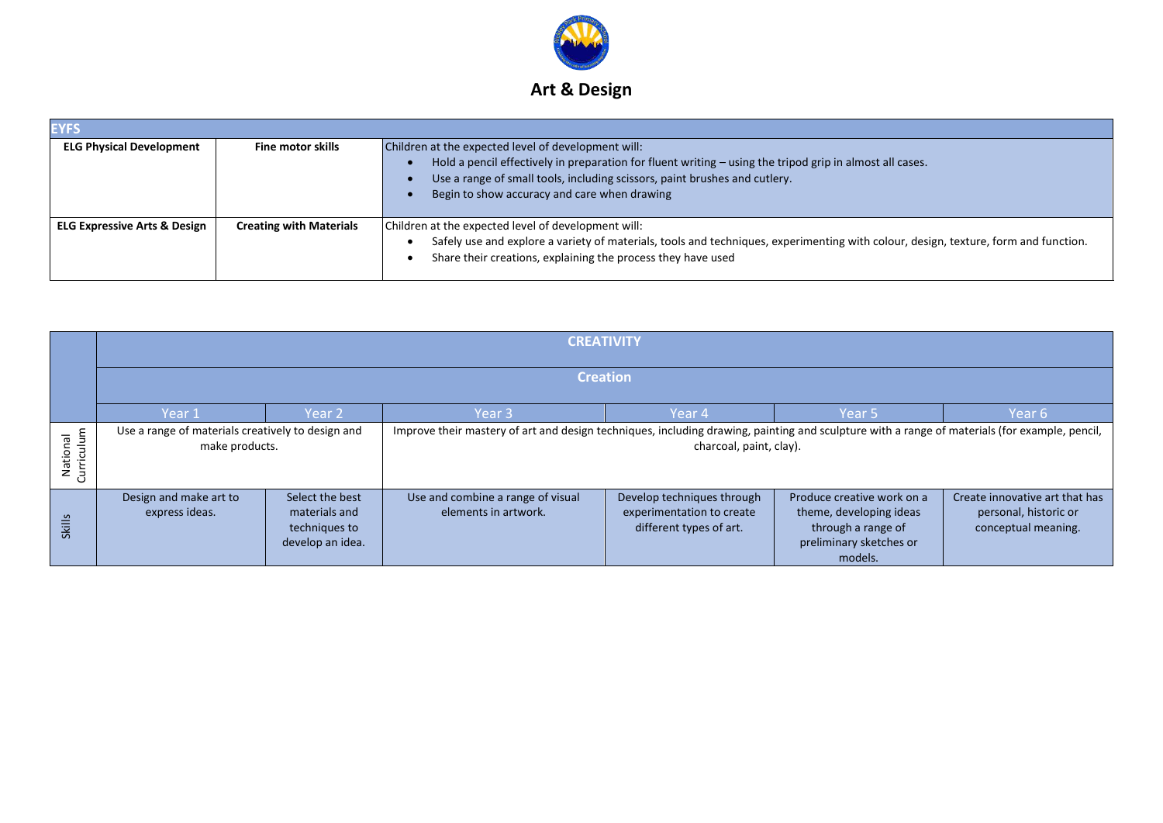

| <b>EYFS</b>                             |                                |                                                                                                                                                                                                                                                                                               |
|-----------------------------------------|--------------------------------|-----------------------------------------------------------------------------------------------------------------------------------------------------------------------------------------------------------------------------------------------------------------------------------------------|
| <b>ELG Physical Development</b>         | <b>Fine motor skills</b>       | Children at the expected level of development will:<br>Hold a pencil effectively in preparation for fluent writing - using the tripod grip in almost all cases.<br>Use a range of small tools, including scissors, paint brushes and cutlery.<br>Begin to show accuracy and care when drawing |
| <b>ELG Expressive Arts &amp; Design</b> | <b>Creating with Materials</b> | Children at the expected level of development will:<br>Safely use and explore a variety of materials, tools and techniques, experimenting with colour, design, texture, form and function.<br>Share their creations, explaining the process they have used                                    |

|                                       |                                                                     | <b>CREATIVITY</b>                                                     |                                                                                                                                               |                                                                                    |                                                                                                                   |                                                                                |  |  |
|---------------------------------------|---------------------------------------------------------------------|-----------------------------------------------------------------------|-----------------------------------------------------------------------------------------------------------------------------------------------|------------------------------------------------------------------------------------|-------------------------------------------------------------------------------------------------------------------|--------------------------------------------------------------------------------|--|--|
|                                       | <b>Creation</b>                                                     |                                                                       |                                                                                                                                               |                                                                                    |                                                                                                                   |                                                                                |  |  |
|                                       | Year 1                                                              | Year 2                                                                | Year 3                                                                                                                                        | Year 4                                                                             | Year 5                                                                                                            | Year 6                                                                         |  |  |
| urriculum<br><b>PS</b><br>Nation<br>ပ | Use a range of materials creatively to design and<br>make products. |                                                                       | Improve their mastery of art and design techniques, including drawing, painting and sculpture with a range of materials (for example, pencil, | charcoal, paint, clay).                                                            |                                                                                                                   |                                                                                |  |  |
| <b>Skills</b>                         | Design and make art to<br>express ideas.                            | Select the best<br>materials and<br>techniques to<br>develop an idea. | Use and combine a range of visual<br>elements in artwork.                                                                                     | Develop techniques through<br>experimentation to create<br>different types of art. | Produce creative work on a<br>theme, developing ideas<br>through a range of<br>preliminary sketches or<br>models. | Create innovative art that has<br>personal, historic or<br>conceptual meaning. |  |  |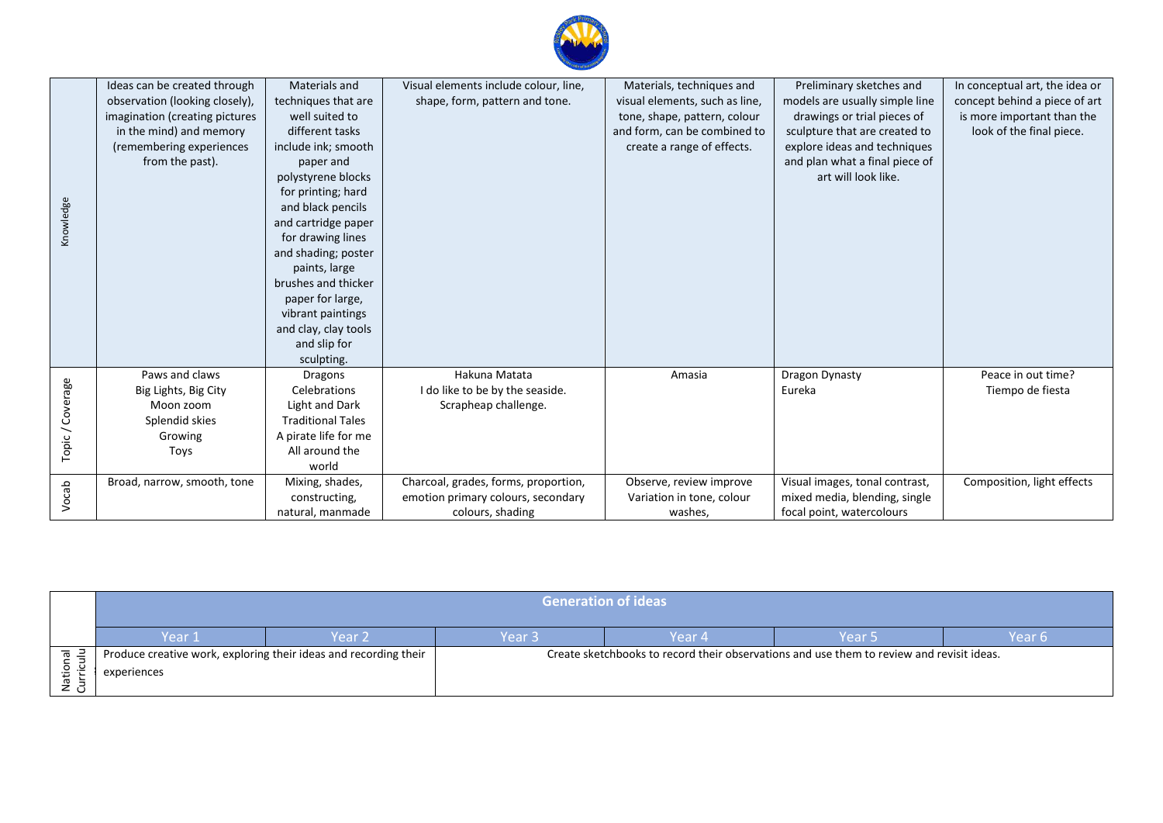

|                  | Ideas can be created through   | Materials and            | Visual elements include colour, line, | Materials, techniques and      | Preliminary sketches and       | In conceptual art, the idea or |
|------------------|--------------------------------|--------------------------|---------------------------------------|--------------------------------|--------------------------------|--------------------------------|
|                  | observation (looking closely), | techniques that are      | shape, form, pattern and tone.        | visual elements, such as line, | models are usually simple line | concept behind a piece of art  |
|                  | imagination (creating pictures | well suited to           |                                       | tone, shape, pattern, colour   | drawings or trial pieces of    | is more important than the     |
|                  | in the mind) and memory        | different tasks          |                                       | and form, can be combined to   | sculpture that are created to  | look of the final piece.       |
|                  | (remembering experiences       | include ink; smooth      |                                       | create a range of effects.     | explore ideas and techniques   |                                |
|                  | from the past).                | paper and                |                                       |                                | and plan what a final piece of |                                |
|                  |                                | polystyrene blocks       |                                       |                                | art will look like.            |                                |
|                  |                                | for printing; hard       |                                       |                                |                                |                                |
| Knowledge        |                                | and black pencils        |                                       |                                |                                |                                |
|                  |                                | and cartridge paper      |                                       |                                |                                |                                |
|                  |                                | for drawing lines        |                                       |                                |                                |                                |
|                  |                                | and shading; poster      |                                       |                                |                                |                                |
|                  |                                | paints, large            |                                       |                                |                                |                                |
|                  |                                | brushes and thicker      |                                       |                                |                                |                                |
|                  |                                | paper for large,         |                                       |                                |                                |                                |
|                  |                                | vibrant paintings        |                                       |                                |                                |                                |
|                  |                                | and clay, clay tools     |                                       |                                |                                |                                |
|                  |                                | and slip for             |                                       |                                |                                |                                |
|                  |                                | sculpting.               |                                       |                                |                                |                                |
|                  | Paws and claws                 | Dragons                  | Hakuna Matata                         | Amasia                         | Dragon Dynasty                 | Peace in out time?             |
|                  | Big Lights, Big City           | Celebrations             | I do like to be by the seaside.       |                                | Eureka                         | Tiempo de fiesta               |
|                  | Moon zoom                      | Light and Dark           | Scrapheap challenge.                  |                                |                                |                                |
|                  | Splendid skies                 | <b>Traditional Tales</b> |                                       |                                |                                |                                |
| Topic / Coverage | Growing                        | A pirate life for me     |                                       |                                |                                |                                |
|                  | Toys                           | All around the           |                                       |                                |                                |                                |
|                  |                                | world                    |                                       |                                |                                |                                |
|                  | Broad, narrow, smooth, tone    | Mixing, shades,          | Charcoal, grades, forms, proportion,  | Observe, review improve        | Visual images, tonal contrast, | Composition, light effects     |
| Vocab            |                                | constructing,            | emotion primary colours, secondary    | Variation in tone, colour      | mixed media, blending, single  |                                |
|                  |                                | natural, manmade         | colours, shading                      | washes,                        | focal point, watercolours      |                                |

|                    | Generation of ideas |                                                                  |        |                                                                                           |        |        |  |
|--------------------|---------------------|------------------------------------------------------------------|--------|-------------------------------------------------------------------------------------------|--------|--------|--|
|                    | Year 1              | Year 2                                                           | Year 3 | Year 4                                                                                    | Year 5 | Year 6 |  |
| $\overline{B}$ .   |                     | Produce creative work, exploring their ideas and recording their |        | Create sketchbooks to record their observations and use them to review and revisit ideas. |        |        |  |
| lati<br><u>z ල</u> | experiences         |                                                                  |        |                                                                                           |        |        |  |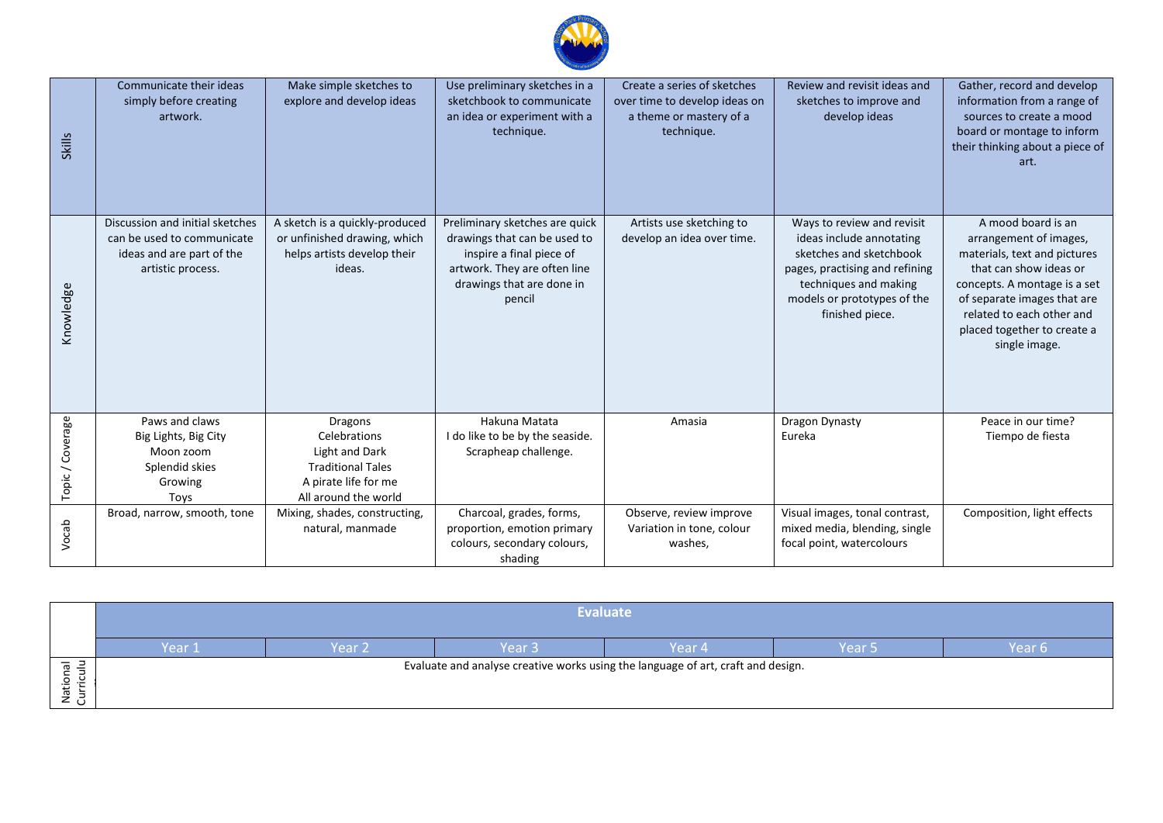

| <b>Skills</b>    | Communicate their ideas<br>simply before creating<br>artwork.                                                   | Make simple sketches to<br>explore and develop ideas                                                    | Use preliminary sketches in a<br>sketchbook to communicate<br>an idea or experiment with a<br>technique.                                                          | Create a series of sketches<br>over time to develop ideas on<br>a theme or mastery of a<br>technique. | Review and revisit ideas and<br>sketches to improve and<br>develop ideas                                                                                                                       | Gather, record and develop<br>information from a range of<br>sources to create a mood<br>board or montage to inform<br>their thinking about a piece of<br>art.                                                                                     |
|------------------|-----------------------------------------------------------------------------------------------------------------|---------------------------------------------------------------------------------------------------------|-------------------------------------------------------------------------------------------------------------------------------------------------------------------|-------------------------------------------------------------------------------------------------------|------------------------------------------------------------------------------------------------------------------------------------------------------------------------------------------------|----------------------------------------------------------------------------------------------------------------------------------------------------------------------------------------------------------------------------------------------------|
| Knowledge        | Discussion and initial sketches<br>can be used to communicate<br>ideas and are part of the<br>artistic process. | A sketch is a quickly-produced<br>or unfinished drawing, which<br>helps artists develop their<br>ideas. | Preliminary sketches are quick<br>drawings that can be used to<br>inspire a final piece of<br>artwork. They are often line<br>drawings that are done in<br>pencil | Artists use sketching to<br>develop an idea over time.                                                | Ways to review and revisit<br>ideas include annotating<br>sketches and sketchbook<br>pages, practising and refining<br>techniques and making<br>models or prototypes of the<br>finished piece. | A mood board is an<br>arrangement of images,<br>materials, text and pictures<br>that can show ideas or<br>concepts. A montage is a set<br>of separate images that are<br>related to each other and<br>placed together to create a<br>single image. |
|                  | Paws and claws<br>Big Lights, Big City                                                                          | Dragons<br>Celebrations                                                                                 | Hakuna Matata<br>I do like to be by the seaside.                                                                                                                  | Amasia                                                                                                | Dragon Dynasty<br>Eureka                                                                                                                                                                       | Peace in our time?<br>Tiempo de fiesta                                                                                                                                                                                                             |
| Topic / Coverage | Moon zoom<br>Splendid skies                                                                                     | Light and Dark<br><b>Traditional Tales</b>                                                              | Scrapheap challenge.                                                                                                                                              |                                                                                                       |                                                                                                                                                                                                |                                                                                                                                                                                                                                                    |
|                  | Growing<br>Toys                                                                                                 | A pirate life for me<br>All around the world                                                            |                                                                                                                                                                   |                                                                                                       |                                                                                                                                                                                                |                                                                                                                                                                                                                                                    |
| Vocab            | Broad, narrow, smooth, tone                                                                                     | Mixing, shades, constructing,<br>natural, manmade                                                       | Charcoal, grades, forms,<br>proportion, emotion primary<br>colours, secondary colours,<br>shading                                                                 | Observe, review improve<br>Variation in tone, colour<br>washes,                                       | Visual images, tonal contrast,<br>mixed media, blending, single<br>focal point, watercolours                                                                                                   | Composition, light effects                                                                                                                                                                                                                         |

|      | <b>Evaluate</b> |        |                   |                                                                                  |        |        |  |
|------|-----------------|--------|-------------------|----------------------------------------------------------------------------------|--------|--------|--|
|      | Year 1          | Year 2 | Year <sub>3</sub> | Year 4                                                                           | Year 5 | Year 6 |  |
| ್ರ ರ |                 |        |                   | Evaluate and analyse creative works using the language of art, craft and design. |        |        |  |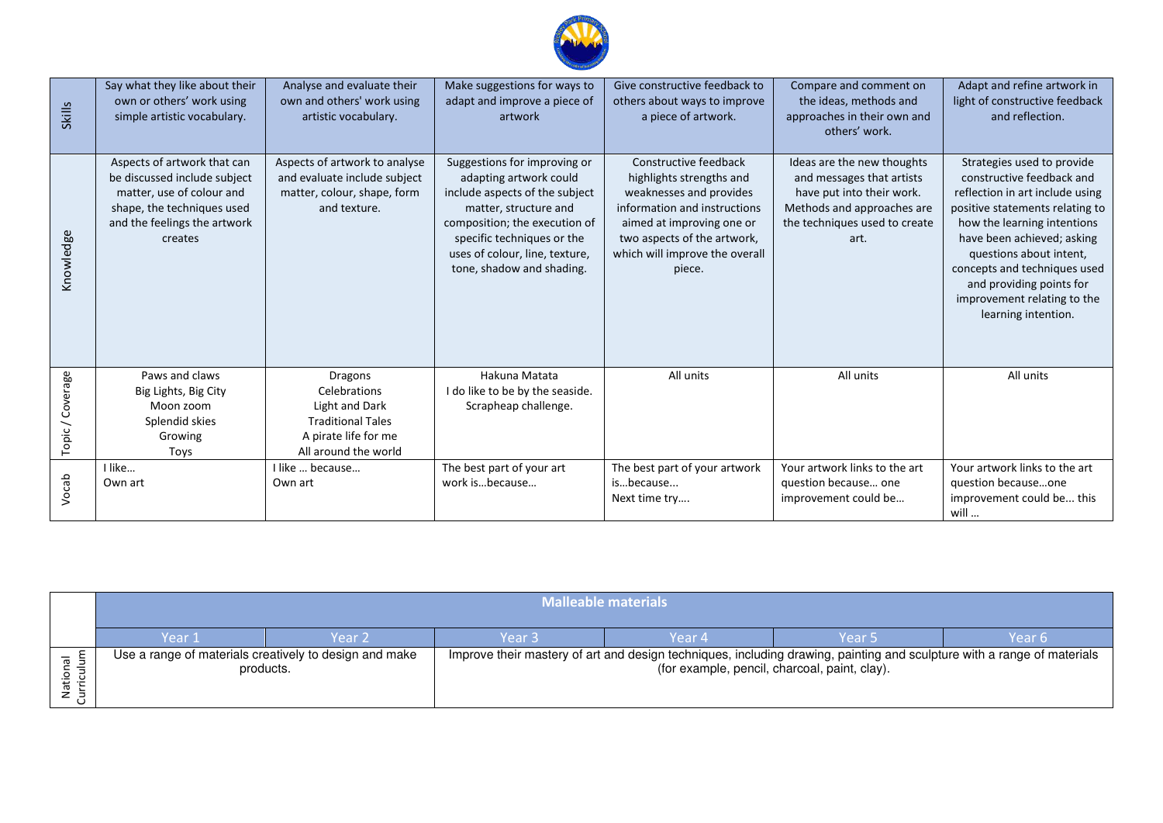

| <b>Skills</b>    | Say what they like about their<br>own or others' work using<br>simple artistic vocabulary.                                                                        | Analyse and evaluate their<br>own and others' work using<br>artistic vocabulary.                                                    | Make suggestions for ways to<br>adapt and improve a piece of<br>artwork                                                                                                                                                                         | Give constructive feedback to<br>others about ways to improve<br>a piece of artwork.                                                                                                                                 | Compare and comment on<br>the ideas, methods and<br>approaches in their own and<br>others' work.                                                            | Adapt and refine artwork in<br>light of constructive feedback<br>and reflection.                                                                                                                                                                                                                                                        |
|------------------|-------------------------------------------------------------------------------------------------------------------------------------------------------------------|-------------------------------------------------------------------------------------------------------------------------------------|-------------------------------------------------------------------------------------------------------------------------------------------------------------------------------------------------------------------------------------------------|----------------------------------------------------------------------------------------------------------------------------------------------------------------------------------------------------------------------|-------------------------------------------------------------------------------------------------------------------------------------------------------------|-----------------------------------------------------------------------------------------------------------------------------------------------------------------------------------------------------------------------------------------------------------------------------------------------------------------------------------------|
| Knowledge        | Aspects of artwork that can<br>be discussed include subject<br>matter, use of colour and<br>shape, the techniques used<br>and the feelings the artwork<br>creates | Aspects of artwork to analyse<br>and evaluate include subject<br>matter, colour, shape, form<br>and texture.                        | Suggestions for improving or<br>adapting artwork could<br>include aspects of the subject<br>matter, structure and<br>composition; the execution of<br>specific techniques or the<br>uses of colour, line, texture,<br>tone, shadow and shading. | Constructive feedback<br>highlights strengths and<br>weaknesses and provides<br>information and instructions<br>aimed at improving one or<br>two aspects of the artwork,<br>which will improve the overall<br>piece. | Ideas are the new thoughts<br>and messages that artists<br>have put into their work.<br>Methods and approaches are<br>the techniques used to create<br>art. | Strategies used to provide<br>constructive feedback and<br>reflection in art include using<br>positive statements relating to<br>how the learning intentions<br>have been achieved; asking<br>questions about intent,<br>concepts and techniques used<br>and providing points for<br>improvement relating to the<br>learning intention. |
| Topic / Coverage | Paws and claws<br>Big Lights, Big City<br>Moon zoom<br>Splendid skies<br>Growing<br>Toys                                                                          | <b>Dragons</b><br>Celebrations<br><b>Light and Dark</b><br><b>Traditional Tales</b><br>A pirate life for me<br>All around the world | Hakuna Matata<br>I do like to be by the seaside.<br>Scrapheap challenge.                                                                                                                                                                        | All units                                                                                                                                                                                                            | All units                                                                                                                                                   | All units                                                                                                                                                                                                                                                                                                                               |
| Vocab            | I like<br>Own art                                                                                                                                                 | I like  because<br>Own art                                                                                                          | The best part of your art<br>work isbecause                                                                                                                                                                                                     | The best part of your artwork<br>isbecause<br>Next time try                                                                                                                                                          | Your artwork links to the art<br>question because one<br>improvement could be                                                                               | Your artwork links to the art<br>question becauseone<br>improvement could be this<br>will                                                                                                                                                                                                                                               |

| Malleable materials |                                                                     |        |                                                                                                                                                                          |        |        |  |
|---------------------|---------------------------------------------------------------------|--------|--------------------------------------------------------------------------------------------------------------------------------------------------------------------------|--------|--------|--|
| Year 1              | Year 2                                                              | Year 3 | Year 4                                                                                                                                                                   | Year 5 | Year 6 |  |
|                     | Use a range of materials creatively to design and make<br>products. |        | Improve their mastery of art and design techniques, including drawing, painting and sculpture with a range of materials<br>(for example, pencil, charcoal, paint, clay). |        |        |  |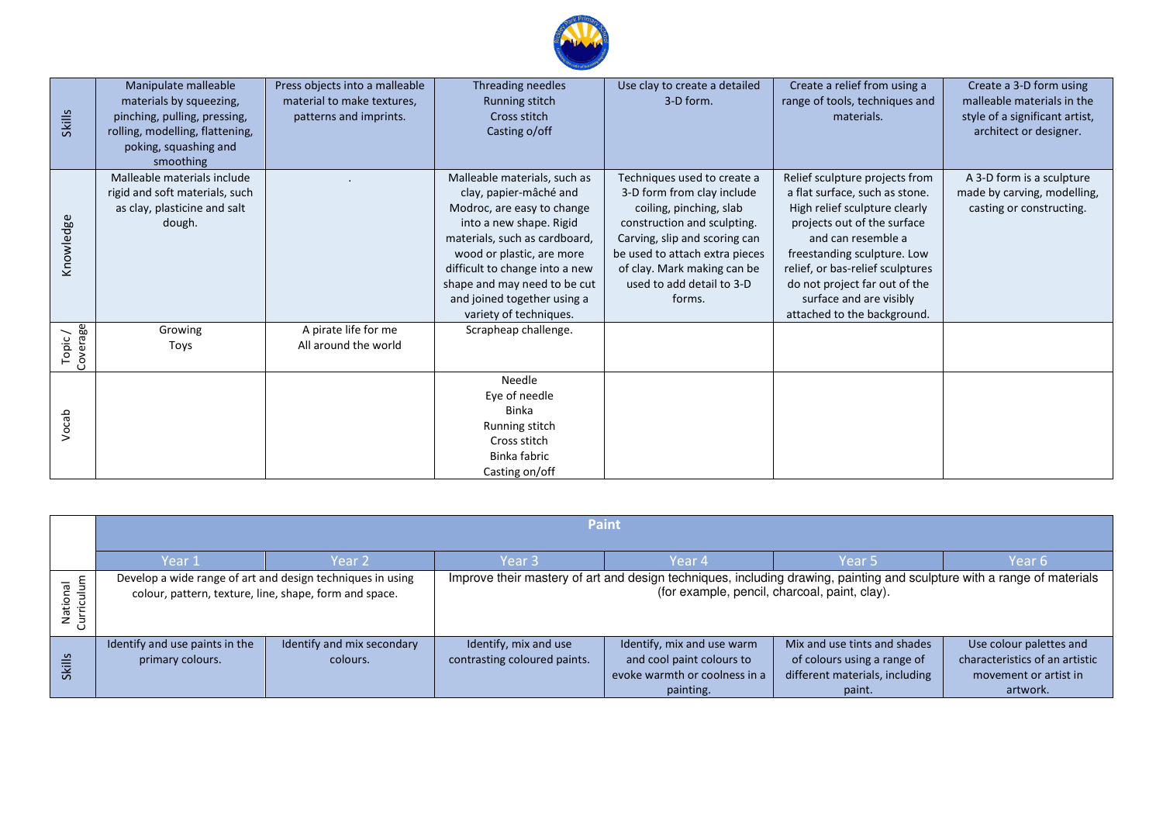

| <b>Skills</b>      | Manipulate malleable<br>materials by squeezing,<br>pinching, pulling, pressing,<br>rolling, modelling, flattening,<br>poking, squashing and<br>smoothing | Press objects into a malleable<br>material to make textures,<br>patterns and imprints. | Threading needles<br>Running stitch<br>Cross stitch<br>Casting o/off                                                                                                                                                                                                                                     | Use clay to create a detailed<br>3-D form.                                                                                                                                                                                                                   | Create a relief from using a<br>range of tools, techniques and<br>materials.                                                                                                                                                                                                                                         | Create a 3-D form using<br>malleable materials in the<br>style of a significant artist,<br>architect or designer. |
|--------------------|----------------------------------------------------------------------------------------------------------------------------------------------------------|----------------------------------------------------------------------------------------|----------------------------------------------------------------------------------------------------------------------------------------------------------------------------------------------------------------------------------------------------------------------------------------------------------|--------------------------------------------------------------------------------------------------------------------------------------------------------------------------------------------------------------------------------------------------------------|----------------------------------------------------------------------------------------------------------------------------------------------------------------------------------------------------------------------------------------------------------------------------------------------------------------------|-------------------------------------------------------------------------------------------------------------------|
| Knowledge          | Malleable materials include<br>rigid and soft materials, such<br>as clay, plasticine and salt<br>dough.                                                  |                                                                                        | Malleable materials, such as<br>clay, papier-mâché and<br>Modroc, are easy to change<br>into a new shape. Rigid<br>materials, such as cardboard,<br>wood or plastic, are more<br>difficult to change into a new<br>shape and may need to be cut<br>and joined together using a<br>variety of techniques. | Techniques used to create a<br>3-D form from clay include<br>coiling, pinching, slab<br>construction and sculpting.<br>Carving, slip and scoring can<br>be used to attach extra pieces<br>of clay. Mark making can be<br>used to add detail to 3-D<br>forms. | Relief sculpture projects from<br>a flat surface, such as stone.<br>High relief sculpture clearly<br>projects out of the surface<br>and can resemble a<br>freestanding sculpture. Low<br>relief, or bas-relief sculptures<br>do not project far out of the<br>surface and are visibly<br>attached to the background. | A 3-D form is a sculpture<br>made by carving, modelling,<br>casting or constructing.                              |
| Coverage<br>Topic/ | Growing<br>Toys                                                                                                                                          | A pirate life for me<br>All around the world                                           | Scrapheap challenge.                                                                                                                                                                                                                                                                                     |                                                                                                                                                                                                                                                              |                                                                                                                                                                                                                                                                                                                      |                                                                                                                   |
| Vocab              |                                                                                                                                                          |                                                                                        | Needle<br>Eye of needle<br><b>Binka</b><br>Running stitch<br>Cross stitch<br>Binka fabric<br>Casting on/off                                                                                                                                                                                              |                                                                                                                                                                                                                                                              |                                                                                                                                                                                                                                                                                                                      |                                                                                                                   |

|                        | <b>Paint</b>                                       |                                                                                                                      |                                                       |                                                                                                                                                                          |                                                                                                         |                                                                                                |  |  |
|------------------------|----------------------------------------------------|----------------------------------------------------------------------------------------------------------------------|-------------------------------------------------------|--------------------------------------------------------------------------------------------------------------------------------------------------------------------------|---------------------------------------------------------------------------------------------------------|------------------------------------------------------------------------------------------------|--|--|
|                        | Year 1                                             | Year 2                                                                                                               | Year 3                                                | Year 4                                                                                                                                                                   | Year 5                                                                                                  | Year 6                                                                                         |  |  |
| lulu<br>ಸ<br>ō<br>Nati |                                                    | Develop a wide range of art and design techniques in using<br>colour, pattern, texture, line, shape, form and space. |                                                       | Improve their mastery of art and design techniques, including drawing, painting and sculpture with a range of materials<br>(for example, pencil, charcoal, paint, clay). |                                                                                                         |                                                                                                |  |  |
| <b>Skills</b>          | Identify and use paints in the<br>primary colours. | Identify and mix secondary<br>colours.                                                                               | Identify, mix and use<br>contrasting coloured paints. | Identify, mix and use warm<br>and cool paint colours to<br>evoke warmth or coolness in a<br>painting.                                                                    | Mix and use tints and shades<br>of colours using a range of<br>different materials, including<br>paint. | Use colour palettes and<br>characteristics of an artistic<br>movement or artist in<br>artwork. |  |  |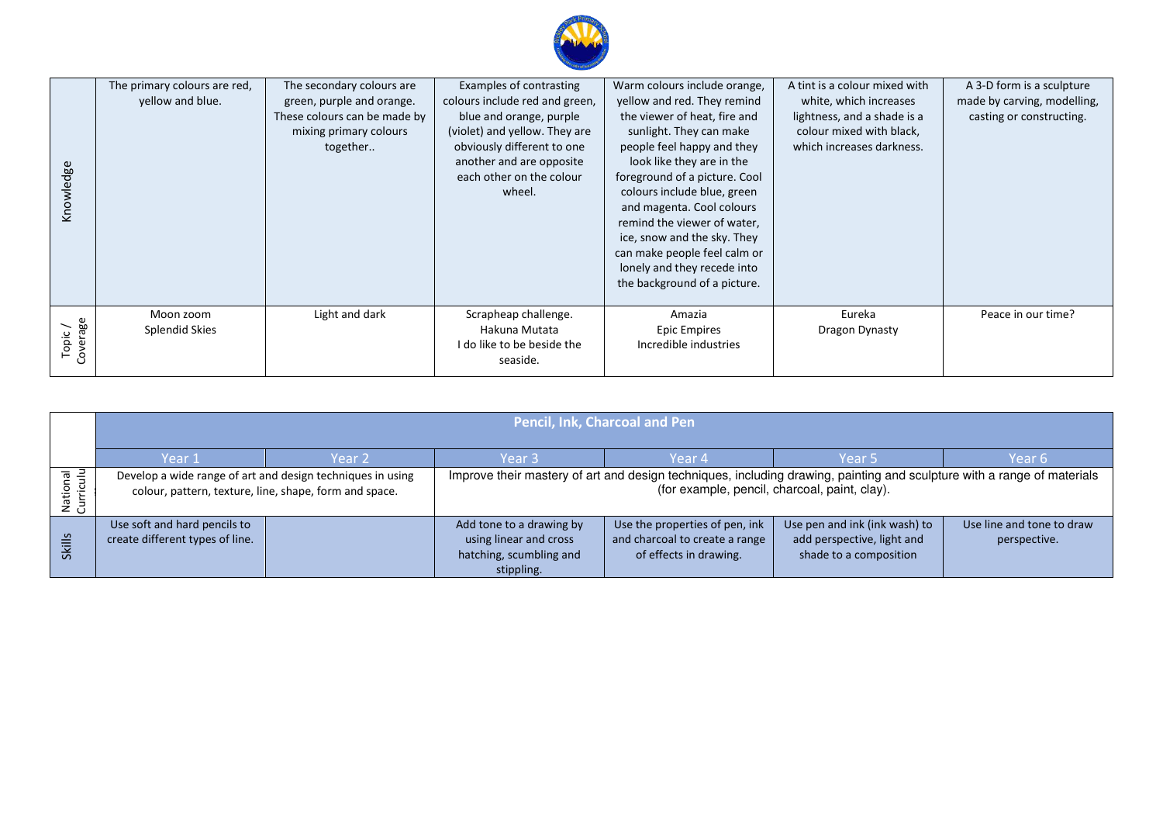

| Knowledge          | The primary colours are red,<br>yellow and blue. | The secondary colours are<br>green, purple and orange.<br>These colours can be made by<br>mixing primary colours<br>together | Examples of contrasting<br>colours include red and green,<br>blue and orange, purple<br>(violet) and yellow. They are<br>obviously different to one<br>another and are opposite<br>each other on the colour<br>wheel. | Warm colours include orange,<br>yellow and red. They remind<br>the viewer of heat, fire and<br>sunlight. They can make<br>people feel happy and they<br>look like they are in the<br>foreground of a picture. Cool<br>colours include blue, green<br>and magenta. Cool colours<br>remind the viewer of water,<br>ice, snow and the sky. They<br>can make people feel calm or<br>lonely and they recede into<br>the background of a picture. | A tint is a colour mixed with<br>white, which increases<br>lightness, and a shade is a<br>colour mixed with black,<br>which increases darkness. | A 3-D form is a sculpture<br>made by carving, modelling,<br>casting or constructing. |
|--------------------|--------------------------------------------------|------------------------------------------------------------------------------------------------------------------------------|-----------------------------------------------------------------------------------------------------------------------------------------------------------------------------------------------------------------------|---------------------------------------------------------------------------------------------------------------------------------------------------------------------------------------------------------------------------------------------------------------------------------------------------------------------------------------------------------------------------------------------------------------------------------------------|-------------------------------------------------------------------------------------------------------------------------------------------------|--------------------------------------------------------------------------------------|
| Topic/<br>Coverage | Moon zoom<br>Splendid Skies                      | Light and dark                                                                                                               | Scrapheap challenge.<br>Hakuna Mutata<br>I do like to be beside the<br>seaside.                                                                                                                                       | Amazia<br><b>Epic Empires</b><br>Incredible industries                                                                                                                                                                                                                                                                                                                                                                                      | Eureka<br>Dragon Dynasty                                                                                                                        | Peace in our time?                                                                   |

|                 | <b>Pencil, Ink, Charcoal and Pen</b>                            |                                                            |                                                                                             |                                                                                                                         |                                                                                       |                                           |  |
|-----------------|-----------------------------------------------------------------|------------------------------------------------------------|---------------------------------------------------------------------------------------------|-------------------------------------------------------------------------------------------------------------------------|---------------------------------------------------------------------------------------|-------------------------------------------|--|
|                 | Year 1                                                          | Year 2                                                     | Year 3                                                                                      | Year 4                                                                                                                  | Year 5                                                                                | Year 6                                    |  |
| 훈 를<br><u>ب</u> | colour, pattern, texture, line, shape, form and space.          | Develop a wide range of art and design techniques in using |                                                                                             | Improve their mastery of art and design techniques, including drawing, painting and sculpture with a range of materials | (for example, pencil, charcoal, paint, clay).                                         |                                           |  |
| <b>Skills</b>   | Use soft and hard pencils to<br>create different types of line. |                                                            | Add tone to a drawing by<br>using linear and cross<br>hatching, scumbling and<br>stippling. | Use the properties of pen, ink<br>and charcoal to create a range<br>of effects in drawing.                              | Use pen and ink (ink wash) to<br>add perspective, light and<br>shade to a composition | Use line and tone to draw<br>perspective. |  |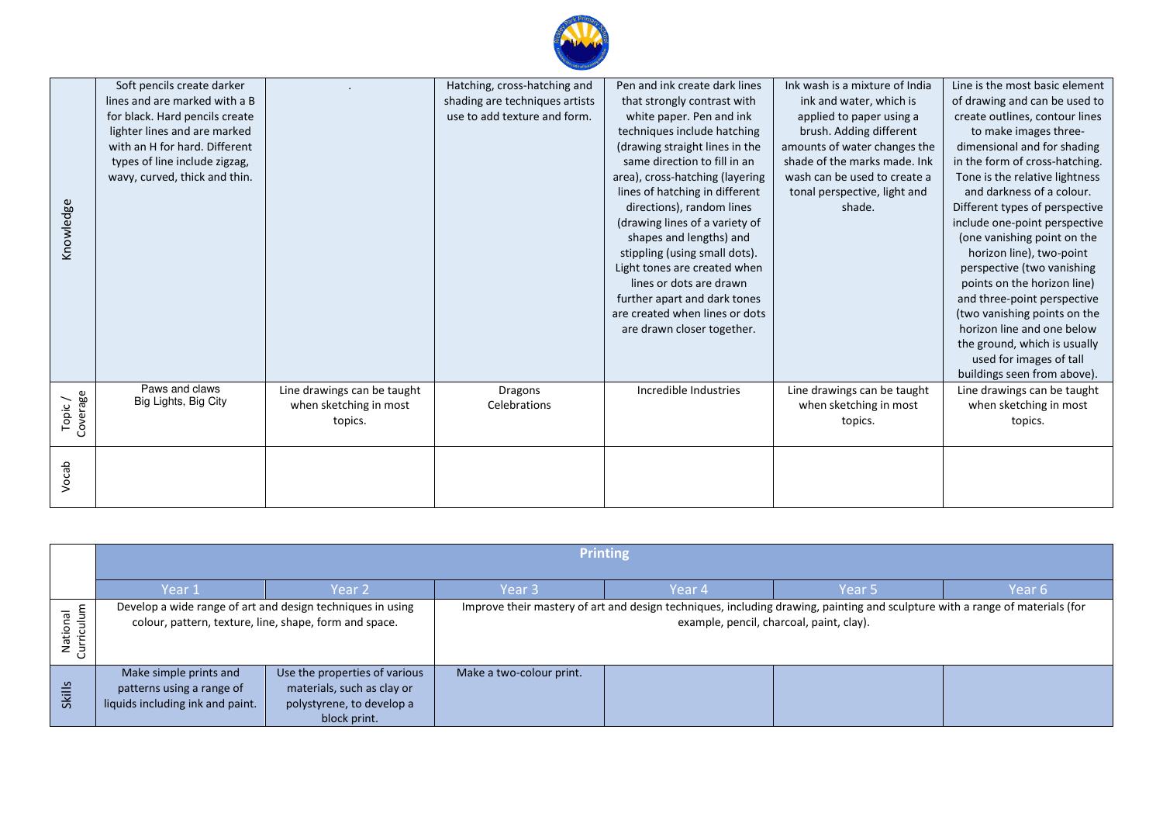| Knowledge          | Soft pencils create darker<br>lines and are marked with a B<br>for black. Hard pencils create<br>lighter lines and are marked<br>with an H for hard. Different<br>types of line include zigzag,<br>wavy, curved, thick and thin. |                                                                  | Hatching, cross-hatching and<br>shading are techniques artists<br>use to add texture and form. | Pen and ink create dark lines<br>that strongly contrast with<br>white paper. Pen and ink<br>techniques include hatching<br>(drawing straight lines in the<br>same direction to fill in an<br>area), cross-hatching (layering<br>lines of hatching in different<br>directions), random lines<br>(drawing lines of a variety of<br>shapes and lengths) and<br>stippling (using small dots).<br>Light tones are created when<br>lines or dots are drawn<br>further apart and dark tones<br>are created when lines or dots<br>are drawn closer together. | Ink wash is a mixture of India<br>ink and water, which is<br>applied to paper using a<br>brush. Adding different<br>amounts of water changes the<br>shade of the marks made. Ink<br>wash can be used to create a<br>tonal perspective, light and<br>shade. | Line is the most basic element<br>of drawing and can be used to<br>create outlines, contour lines<br>to make images three-<br>dimensional and for shading<br>in the form of cross-hatching.<br>Tone is the relative lightness<br>and darkness of a colour.<br>Different types of perspective<br>include one-point perspective<br>(one vanishing point on the<br>horizon line), two-point<br>perspective (two vanishing<br>points on the horizon line)<br>and three-point perspective<br>(two vanishing points on the<br>horizon line and one below<br>the ground, which is usually<br>used for images of tall<br>buildings seen from above). |
|--------------------|----------------------------------------------------------------------------------------------------------------------------------------------------------------------------------------------------------------------------------|------------------------------------------------------------------|------------------------------------------------------------------------------------------------|------------------------------------------------------------------------------------------------------------------------------------------------------------------------------------------------------------------------------------------------------------------------------------------------------------------------------------------------------------------------------------------------------------------------------------------------------------------------------------------------------------------------------------------------------|------------------------------------------------------------------------------------------------------------------------------------------------------------------------------------------------------------------------------------------------------------|----------------------------------------------------------------------------------------------------------------------------------------------------------------------------------------------------------------------------------------------------------------------------------------------------------------------------------------------------------------------------------------------------------------------------------------------------------------------------------------------------------------------------------------------------------------------------------------------------------------------------------------------|
| Coverage<br>Topic, | Paws and claws<br>Big Lights, Big City                                                                                                                                                                                           | Line drawings can be taught<br>when sketching in most<br>topics. | <b>Dragons</b><br>Celebrations                                                                 | Incredible Industries                                                                                                                                                                                                                                                                                                                                                                                                                                                                                                                                | Line drawings can be taught<br>when sketching in most<br>topics.                                                                                                                                                                                           | Line drawings can be taught<br>when sketching in most<br>topics.                                                                                                                                                                                                                                                                                                                                                                                                                                                                                                                                                                             |
| Vocab              |                                                                                                                                                                                                                                  |                                                                  |                                                                                                |                                                                                                                                                                                                                                                                                                                                                                                                                                                                                                                                                      |                                                                                                                                                                                                                                                            |                                                                                                                                                                                                                                                                                                                                                                                                                                                                                                                                                                                                                                              |

|                                                 | <b>Printing</b>                                                                                                      |                                                                                                          |                                                                                                                                                                          |        |                   |        |  |
|-------------------------------------------------|----------------------------------------------------------------------------------------------------------------------|----------------------------------------------------------------------------------------------------------|--------------------------------------------------------------------------------------------------------------------------------------------------------------------------|--------|-------------------|--------|--|
|                                                 | Year 1                                                                                                               | Year 2                                                                                                   | Year 3                                                                                                                                                                   | Year 4 | Year <sub>5</sub> | Year 6 |  |
| iculum<br>$\overline{\sigma}$<br>Nation<br>Curr | Develop a wide range of art and design techniques in using<br>colour, pattern, texture, line, shape, form and space. |                                                                                                          | Improve their mastery of art and design techniques, including drawing, painting and sculpture with a range of materials (for<br>example, pencil, charcoal, paint, clay). |        |                   |        |  |
| Skills                                          | Make simple prints and<br>patterns using a range of<br>liquids including ink and paint.                              | Use the properties of various<br>materials, such as clay or<br>polystyrene, to develop a<br>block print. | Make a two-colour print.                                                                                                                                                 |        |                   |        |  |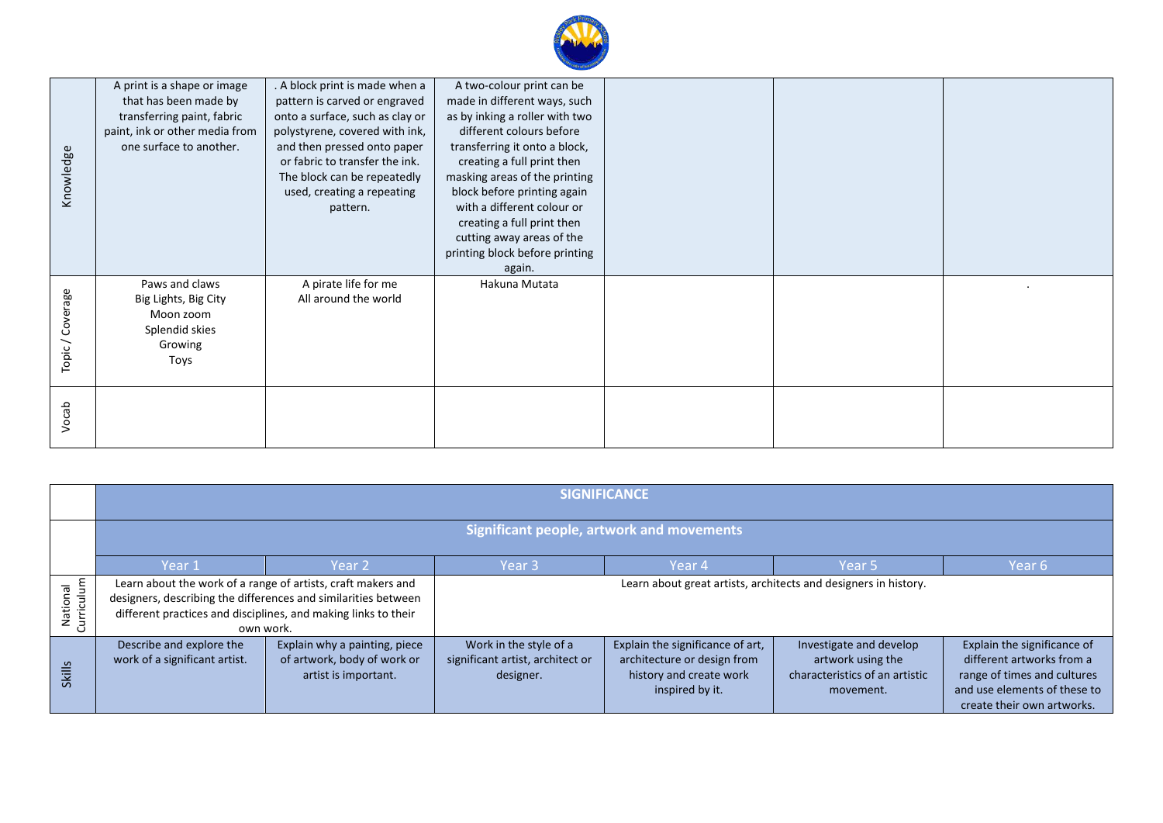| Knowledge      | A print is a shape or image<br>that has been made by<br>transferring paint, fabric<br>paint, ink or other media from<br>one surface to another. | . A block print is made when a<br>pattern is carved or engraved<br>onto a surface, such as clay or<br>polystyrene, covered with ink,<br>and then pressed onto paper<br>or fabric to transfer the ink.<br>The block can be repeatedly<br>used, creating a repeating<br>pattern. | A two-colour print can be<br>made in different ways, such<br>as by inking a roller with two<br>different colours before<br>transferring it onto a block,<br>creating a full print then<br>masking areas of the printing<br>block before printing again<br>with a different colour or<br>creating a full print then<br>cutting away areas of the<br>printing block before printing<br>again. |  |  |  |
|----------------|-------------------------------------------------------------------------------------------------------------------------------------------------|--------------------------------------------------------------------------------------------------------------------------------------------------------------------------------------------------------------------------------------------------------------------------------|---------------------------------------------------------------------------------------------------------------------------------------------------------------------------------------------------------------------------------------------------------------------------------------------------------------------------------------------------------------------------------------------|--|--|--|
| Topic/Coverage | Paws and claws<br>Big Lights, Big City<br>Moon zoom<br>Splendid skies<br>Growing<br>Toys                                                        | A pirate life for me<br>All around the world                                                                                                                                                                                                                                   | Hakuna Mutata                                                                                                                                                                                                                                                                                                                                                                               |  |  |  |
| Vocab          |                                                                                                                                                 |                                                                                                                                                                                                                                                                                |                                                                                                                                                                                                                                                                                                                                                                                             |  |  |  |

|                            | <b>SIGNIFICANCE</b>                                                                                                                                                                                           |                                                                                      |                                                                         |                                                                                                               |                                                                                             |                                                                                                                                                       |  |
|----------------------------|---------------------------------------------------------------------------------------------------------------------------------------------------------------------------------------------------------------|--------------------------------------------------------------------------------------|-------------------------------------------------------------------------|---------------------------------------------------------------------------------------------------------------|---------------------------------------------------------------------------------------------|-------------------------------------------------------------------------------------------------------------------------------------------------------|--|
|                            | <b>Significant people, artwork and movements</b>                                                                                                                                                              |                                                                                      |                                                                         |                                                                                                               |                                                                                             |                                                                                                                                                       |  |
|                            | Year 1                                                                                                                                                                                                        | Year <sub>2</sub>                                                                    | Year 3                                                                  | Year 4                                                                                                        | Year <sub>5</sub>                                                                           | Year 6                                                                                                                                                |  |
| urriculum<br>National<br>ပ | Learn about the work of a range of artists, craft makers and<br>designers, describing the differences and similarities between<br>different practices and disciplines, and making links to their<br>own work. |                                                                                      | Learn about great artists, architects and designers in history.         |                                                                                                               |                                                                                             |                                                                                                                                                       |  |
| Skills                     | Describe and explore the<br>work of a significant artist.                                                                                                                                                     | Explain why a painting, piece<br>of artwork, body of work or<br>artist is important. | Work in the style of a<br>significant artist, architect or<br>designer. | Explain the significance of art,<br>architecture or design from<br>history and create work<br>inspired by it. | Investigate and develop<br>artwork using the<br>characteristics of an artistic<br>movement. | Explain the significance of<br>different artworks from a<br>range of times and cultures<br>and use elements of these to<br>create their own artworks. |  |